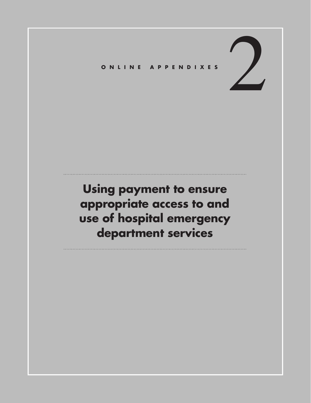## 2 **ONLINE APPENDIXES**

## **Using payment to ensure appropriate access to and use of hospital emergency department services**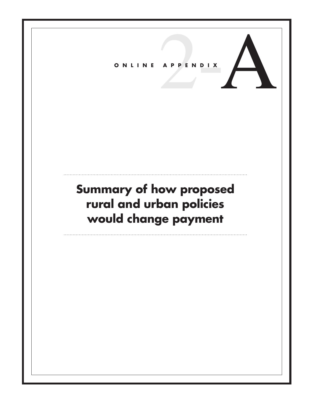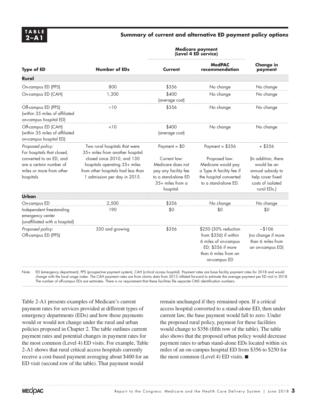## **2–A1 Summary of current and alternative ED payment policy options**

| <b>Type of ED</b>                                                                              | Number of EDs                                                                                                                     | <b>Medicare payment</b><br>(Level 4 ED service)                                                                   |                                                                                                                                    |                                                                                                                 |
|------------------------------------------------------------------------------------------------|-----------------------------------------------------------------------------------------------------------------------------------|-------------------------------------------------------------------------------------------------------------------|------------------------------------------------------------------------------------------------------------------------------------|-----------------------------------------------------------------------------------------------------------------|
|                                                                                                |                                                                                                                                   | Current                                                                                                           | <b>MedPAC</b><br>recommendation                                                                                                    | <b>Change in</b><br>payment                                                                                     |
| Rural                                                                                          |                                                                                                                                   |                                                                                                                   |                                                                                                                                    |                                                                                                                 |
| On-campus ED (PPS)                                                                             | 800                                                                                                                               | \$356                                                                                                             | No change                                                                                                                          | No change                                                                                                       |
| On-campus ED (CAH)                                                                             | 1,300                                                                                                                             | \$400<br>(average cost)                                                                                           | No change                                                                                                                          | No change                                                                                                       |
| Off-campus ED (PPS)<br>(within 35 miles of affiliated<br>on-campus hospital ED)                | $\approx 10$                                                                                                                      | \$356                                                                                                             | No change                                                                                                                          | No change                                                                                                       |
| Off-campus ED (CAH)<br>(within 35 miles of affiliated<br>on-campus hospital ED)                | <10                                                                                                                               | \$400<br>(average cost)                                                                                           | No change                                                                                                                          | No change                                                                                                       |
| Proposed policy:<br>For hospitals that closed,                                                 | Two rural hospitals that were<br>35+ miles from another hospital                                                                  | Payment = $$0$                                                                                                    | Payment = $$356$                                                                                                                   | $+$ \$356                                                                                                       |
| converted to an ED, and<br>are a certain number of<br>miles or more from other<br>hospitals    | closed since 2010, and 130<br>hospitals operating 35+ miles<br>from other hospitals had less than<br>1 admission per day in 2015. | Current law:<br>Medicare does not<br>pay any facility fee<br>to a stand-alone ED<br>35+ miles from a<br>hospital. | Proposed law:<br>Medicare would pay<br>a Type A facility fee if<br>the hospital converted<br>to a stand-alone ED.                  | (In addition, there<br>would be an<br>annual subsidy to<br>help cover fixed<br>costs of isolated<br>rural EDs.) |
| Urban                                                                                          |                                                                                                                                   |                                                                                                                   |                                                                                                                                    |                                                                                                                 |
| On-campus ED<br>Independent freestanding<br>emergency center<br>(unaffiliated with a hospital) | 2,500<br>190                                                                                                                      | \$356<br>\$0                                                                                                      | No change<br>\$0                                                                                                                   | No change<br>\$0                                                                                                |
| Proposed policy:<br>Off-campus ED (PPS)                                                        | 350 and growing                                                                                                                   | \$356                                                                                                             | \$250 (30% reduction<br>from \$356) if within<br>6 miles of on-campus<br>ED; \$356 if more<br>than 6 miles from an<br>on-campus ED | $-1106$<br>(no change if more<br>than 6 miles from<br>an on-campus ED)                                          |

Note: ED (emergency department), PPS (prospective payment system), CAH (critical access hospital). Payment rates are base facility payment rates for 2018 and would change with the local wage index. The CAH payment rates are from claims data from 2013 inflated forward to estimate the average payment per ED visit in 2018. The number of off-campus EDs are estimates. There is no requirement that these facilities file separate CMS identification numbers.

Table 2-A1 presents examples of Medicare's current payment rates for services provided at different types of emergency departments (EDs) and how those payments would or would not change under the rural and urban policies proposed in Chapter 2. The table outlines current payment rates and potential changes in payment rates for the most common (Level 4) ED visits. For example, Table 2-A1 shows that rural critical access hospitals currently receive a cost-based payment averaging about \$400 for an ED visit (second row of the table). That payment would

remain unchanged if they remained open. If a critical access hospital converted to a stand-alone ED, then under current law, the base payment would fall to zero. Under the proposed rural policy, payment for these facilities would change to \$356 (fifth row of the table). The table also shows that the proposed urban policy would decrease payment rates to urban stand-alone EDs located within six miles of an on-campus hospital ED from \$356 to \$250 for the most common (Level 4) ED visits. ■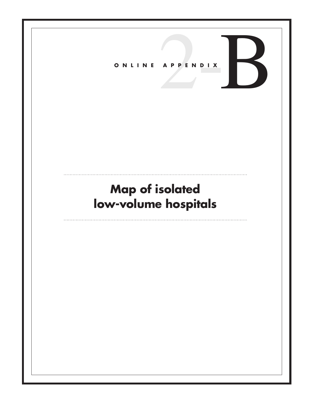